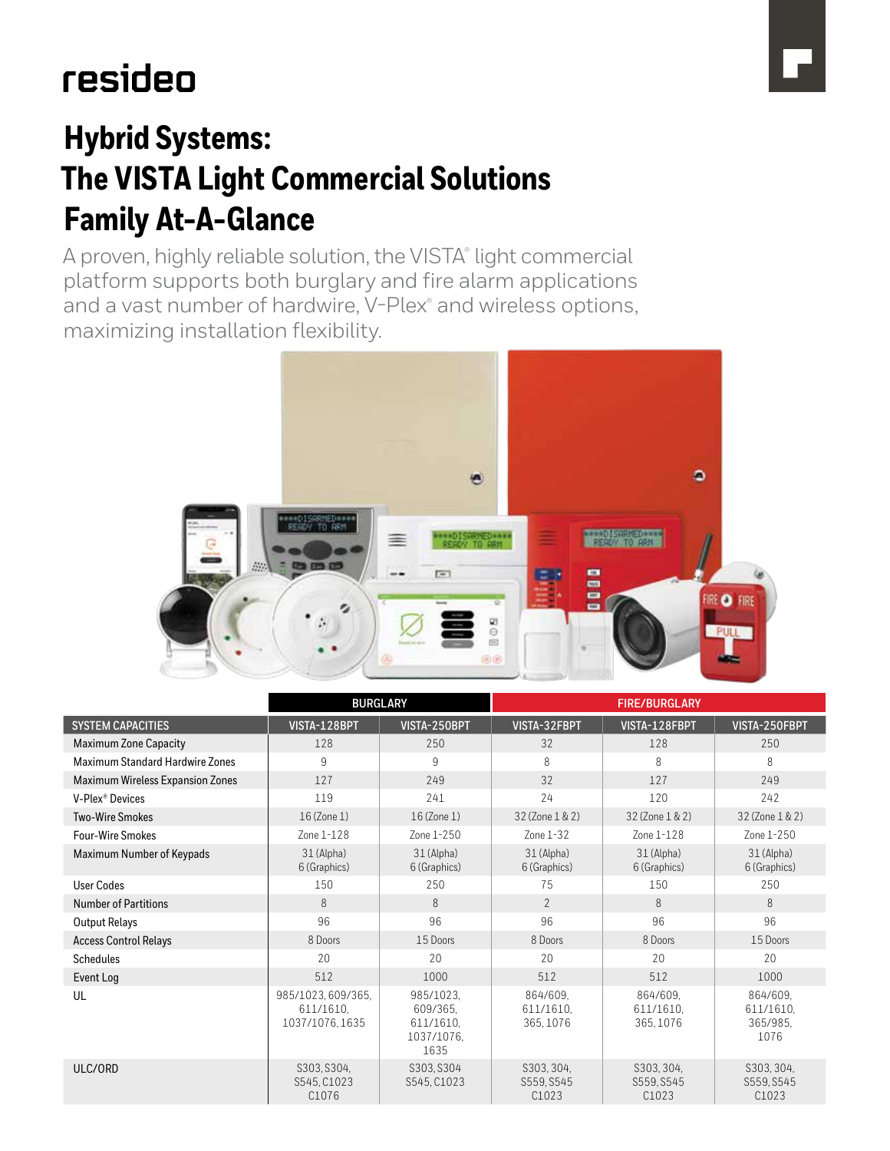# resideo

# **Hybrid Systems: The VISTA Light Commercial Solutions Family At-A-Glance**

A proven, highly reliable solution, the VISTA® light commercial platform supports both burglary and fire alarm applications and a vast number of hardwire, V-Plex® and wireless options, maximizing installation flexibility.



|                                         | <b>BURGLARY</b>                                  |                                                          | <b>FIRE/BURGLARY</b>               |                                    |                                               |
|-----------------------------------------|--------------------------------------------------|----------------------------------------------------------|------------------------------------|------------------------------------|-----------------------------------------------|
| <b>SYSTEM CAPACITIES</b>                | VISTA-128BPT                                     | VISTA-250BPT                                             | VISTA-32FBPT                       | VISTA-128FBPT                      | VISTA-250FBPT                                 |
| <b>Maximum Zone Capacity</b>            | 128                                              | 250                                                      | 32                                 | 128                                | 250                                           |
| Maximum Standard Hardwire Zones         | 9                                                | 9                                                        | 8                                  | 8                                  | 8                                             |
| <b>Maximum Wireless Expansion Zones</b> | 127                                              | 249                                                      | 32                                 | 127                                | 249                                           |
| V-Plex <sup>®</sup> Devices             | 119                                              | 241                                                      | 24                                 | 120                                | 242                                           |
| <b>Two-Wire Smokes</b>                  | 16 (Zone 1)                                      | 16 (Zone 1)                                              | 32 (Zone 1 & 2)                    | 32 (Zone 1 & 2)                    | 32 (Zone 1 & 2)                               |
| <b>Four-Wire Smokes</b>                 | Zone 1-128                                       | Zone 1-250                                               | Zone 1-32                          | Zone 1-128                         | Zone 1-250                                    |
| Maximum Number of Keypads               | 31 (Alpha)<br>6 (Graphics)                       | 31 (Alpha)<br>6 (Graphics)                               | 31 (Alpha)<br>6 (Graphics)         | 31 (Alpha)<br>6 (Graphics)         | 31 (Alpha)<br>6 (Graphics)                    |
| <b>User Codes</b>                       | 150                                              | 250                                                      | 75                                 | 150                                | 250                                           |
| <b>Number of Partitions</b>             | 8                                                | 8                                                        | $\mathcal{P}$                      | 8                                  | 8                                             |
| <b>Output Relays</b>                    | 96                                               | 96                                                       | 96                                 | 96                                 | 96                                            |
| <b>Access Control Relays</b>            | 8 Doors                                          | 15 Doors                                                 | 8 Doors                            | 8 Doors                            | 15 Doors                                      |
| <b>Schedules</b>                        | 20                                               | 20                                                       | 20                                 | 20                                 | 20                                            |
| Event Log                               | 512                                              | 1000                                                     | 512                                | 512                                | 1000                                          |
| UL                                      | 985/1023.609/365.<br>611/1610.<br>1037/1076.1635 | 985/1023.<br>609/365.<br>611/1610.<br>1037/1076.<br>1635 | 864/609.<br>611/1610.<br>365, 1076 | 864/609.<br>611/1610.<br>365, 1076 | 864/609.<br>611/1610.<br>365/985.<br>1076     |
| ULC/ORD                                 | S303, S304,<br>S545, C1023<br>C <sub>1076</sub>  | S303, S304<br>S545, C1023                                | S303, 304,<br>S559, S545<br>C1023  | S303, 304,<br>S559, S545<br>C1023  | S303, 304,<br>S559, S545<br>C <sub>1023</sub> |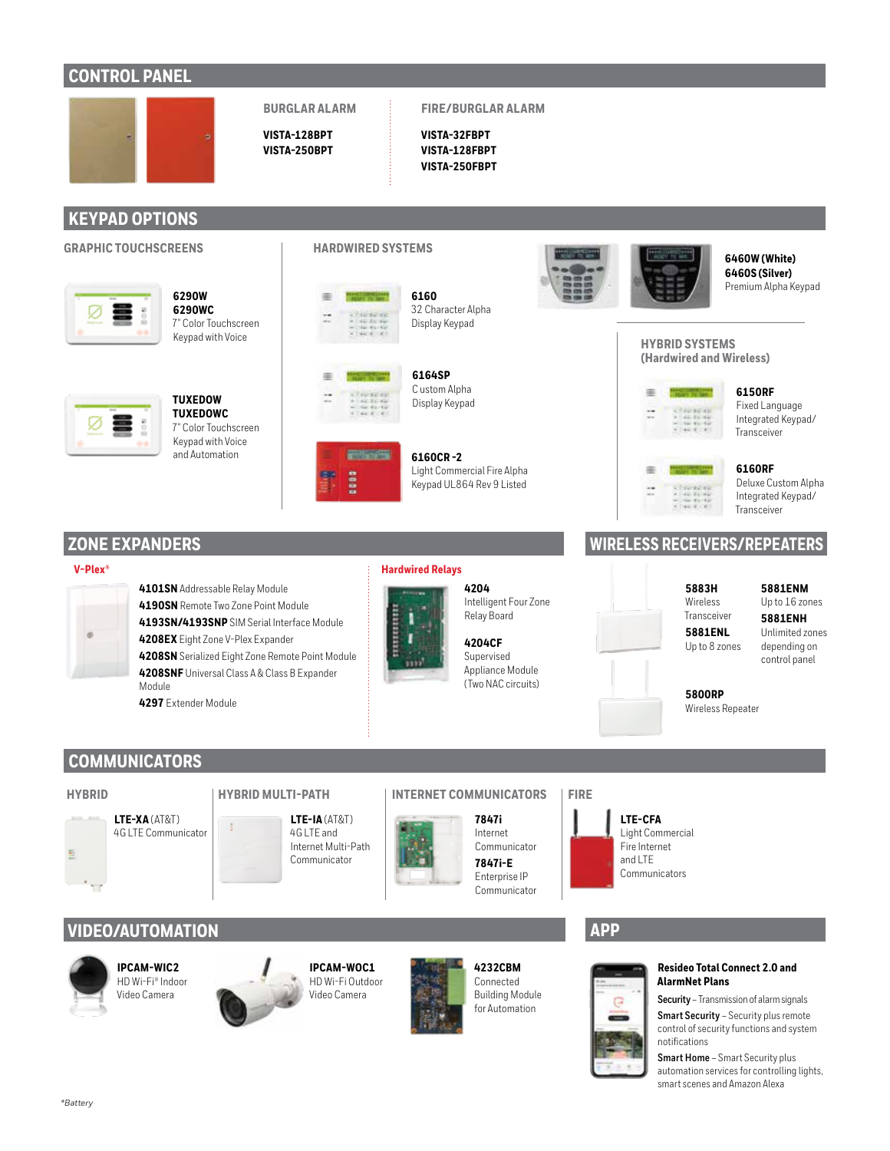## **CONTROL PANEL**



## **VISTA-128BPT VISTA-250BPT**

**BURGLAR ALARM** 

#### **FIRE/BURGLAR ALARM**

**VISTA-32FBPT VISTA-128FBPT VISTA-250FBPT** 

## **KEYPAD OPTIONS**

### **GRAPHIC TOUCHSCREENS HARDWIRED SYSTEMS**



**6290W 6290WC** 7" Color Touchscreen Keypad with Voice

**TUXEDOWC** 7" Color Touchscreen Keypad with Voice and Automation

**TUXEDOW**





**6160** 32 Character Alpha Display Keypad



333

**6164SP** C ustom Alpha Display Keypad

**6160CR -2** Light Commercial Fire Alpha Keypad UL864 Rev 9 Listed

## **ZONE EXPANDERS**

#### **V-Plex® Hardwired Relays**



**4101SN** Addressable Relay Module **4190SN** Remote Two Zone Point Module **4193SN/4193SNP** SIM Serial Interface Module **4208EX** Eight Zone V-Plex Expander **4208SN** Serialized Eight Zone Remote Point Module **4208SNF** Universal Class A & Class B Expander Module **4297** Extender Module



Relay Board

**4204CF** Supervised Appliance Module (Two NAC circuits)



**6460W (White) 6460S (Silver)** Premium Alpha Keypad

#### **HYBRID SYSTEMS (Hardwired and Wireless)**



**6150RF** Fixed Language Integrated Keypad/ Transceiver



**6160RF** Deluxe Custom Alpha Integrated Keypad/ Transceiver

## **WIRELESS RECEIVERS/REPEATERS**

#### **5883H** Wireless Transceiver **5881ENL**

#### **5881ENM** Up to 16 zones

**5881ENH** Unlimited zones depending on control panel



## **5800RP**

Up to 8 zones

Wireless Repeater

## **COMMUNICATORS**



**LTE-IA** (AT&T)



#### **HYBRID HYBRID MULTI-PATH INTERNET COMMUNICATORS FIRE**



**LTE-CFA** Light Commercial Fire Internet and LTE Communicators

## **VIDEO/AUTOMATION**



*\*Battery* 

**IPCAM-WIC2** HD Wi-Fi® Indoor Video Camera







**4232CBM** Connected Building Module for Automation

## **APP**



#### **Resideo Total Connect 2.0 and AlarmNet Plans**

**Security** – Transmission of alarm signals **Smart Security** – Security plus remote control of security functions and system notifications

**Smart Home** – Smart Security plus automation services for controlling lights, smart scenes and Amazon Alexa

**4204** Intelligent Four Zone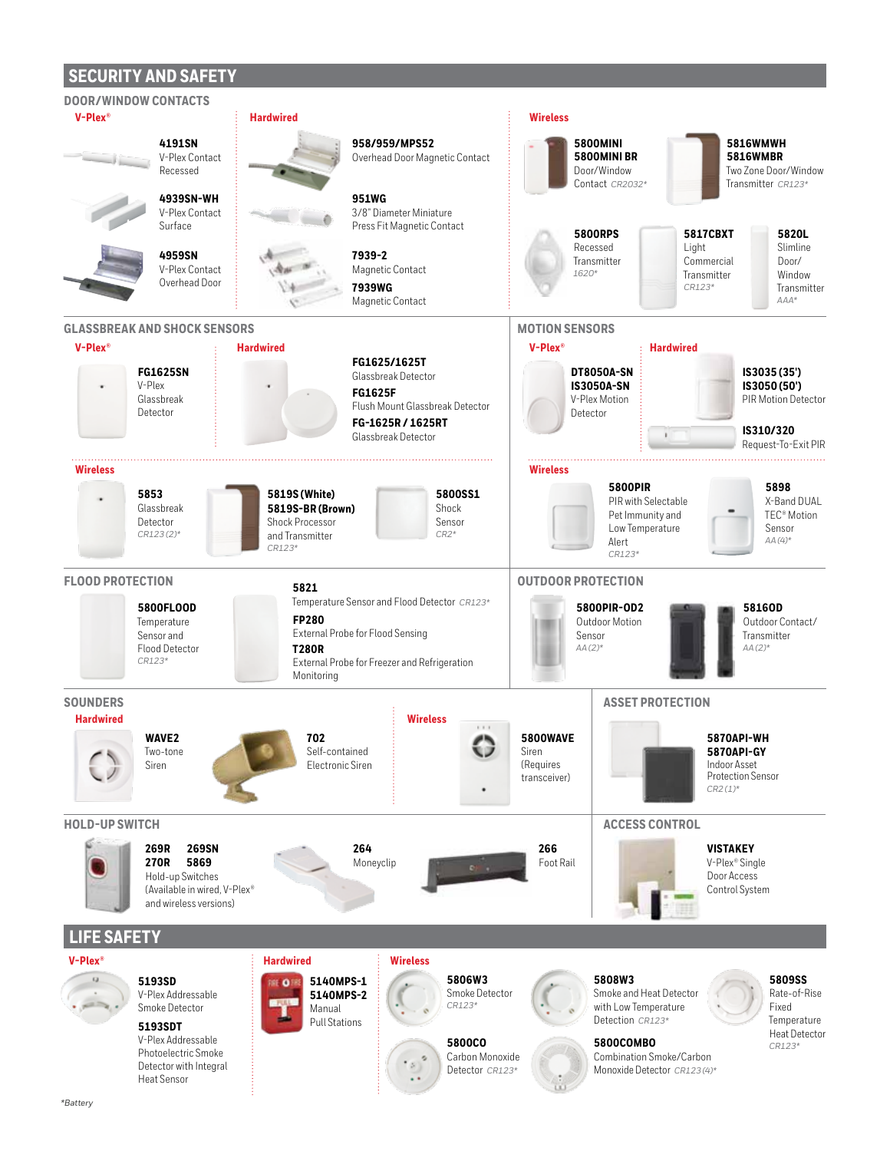## **SECURITY AND SAFETY**